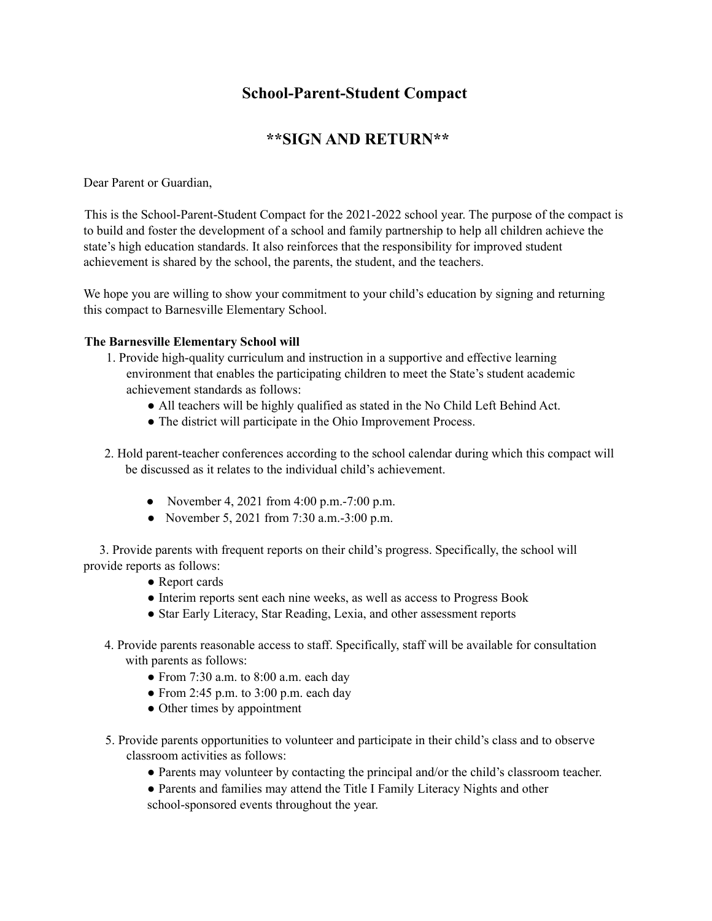# **School-Parent-Student Compact**

## **\*\*SIGN AND RETURN\*\***

Dear Parent or Guardian,

This is the School-Parent-Student Compact for the 2021-2022 school year. The purpose of the compact is to build and foster the development of a school and family partnership to help all children achieve the state's high education standards. It also reinforces that the responsibility for improved student achievement is shared by the school, the parents, the student, and the teachers.

We hope you are willing to show your commitment to your child's education by signing and returning this compact to Barnesville Elementary School.

#### **The Barnesville Elementary School will**

- 1. Provide high-quality curriculum and instruction in a supportive and effective learning environment that enables the participating children to meet the State's student academic achievement standards as follows:
	- All teachers will be highly qualified as stated in the No Child Left Behind Act.
	- The district will participate in the Ohio Improvement Process.
- 2. Hold parent-teacher conferences according to the school calendar during which this compact will be discussed as it relates to the individual child's achievement.
	- November 4, 2021 from  $4:00 \text{ p.m.}$ -7:00 p.m.
	- November 5, 2021 from 7:30 a.m.  $-3:00$  p.m.

3. Provide parents with frequent reports on their child's progress. Specifically, the school will provide reports as follows:

- Report cards
- Interim reports sent each nine weeks, as well as access to Progress Book
- Star Early Literacy, Star Reading, Lexia, and other assessment reports
- 4. Provide parents reasonable access to staff. Specifically, staff will be available for consultation with parents as follows:
	- $\bullet$  From 7:30 a.m. to 8:00 a.m. each day
	- $\bullet$  From 2:45 p.m. to 3:00 p.m. each day
	- Other times by appointment
- 5. Provide parents opportunities to volunteer and participate in their child's class and to observe classroom activities as follows:
	- Parents may volunteer by contacting the principal and/or the child's classroom teacher.
	- Parents and families may attend the Title I Family Literacy Nights and other
	- school-sponsored events throughout the year.